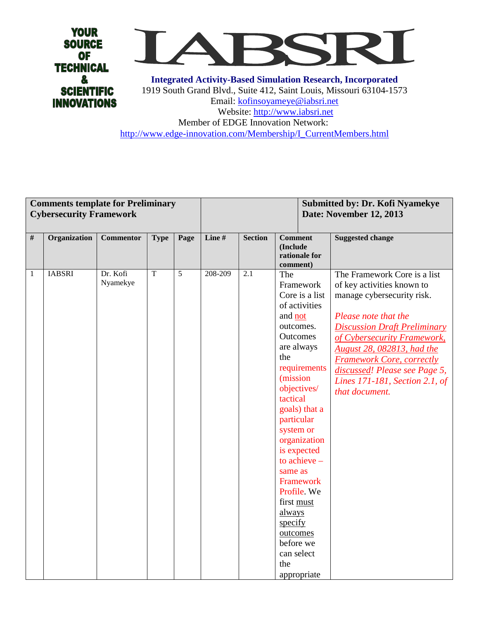



**Integrated Activity-Based Simulation Research, Incorporated** 1919 South Grand Blvd., Suite 412, Saint Louis, Missouri 63104-1573 Email: [kofinsoyameye@iabsri.net](mailto:kofinsoyameye@iabsri.net) Website: [http://www.iabsri.net](http://www.iabsri.net/) Member of EDGE Innovation Network: [http://www.edge-innovation.com/Membership/I\\_CurrentMembers.html](http://www.edge-innovation.com/Membership/I_CurrentMembers.html)

|      | <b>Comments template for Preliminary</b><br><b>Cybersecurity Framework</b> |                      |                |                | Submitted by: Dr. Kofi Nyamekye<br>Date: November 12, 2013 |                  |                                                                                                                                                                                                                                                                                                                                                        |                                                |                                                                                                                                                                                                                                                                                                                                                      |
|------|----------------------------------------------------------------------------|----------------------|----------------|----------------|------------------------------------------------------------|------------------|--------------------------------------------------------------------------------------------------------------------------------------------------------------------------------------------------------------------------------------------------------------------------------------------------------------------------------------------------------|------------------------------------------------|------------------------------------------------------------------------------------------------------------------------------------------------------------------------------------------------------------------------------------------------------------------------------------------------------------------------------------------------------|
| $\#$ | Organization                                                               | <b>Commentor</b>     | <b>Type</b>    | Page           | Line #                                                     | <b>Section</b>   | <b>Comment</b><br>(Include<br>rationale for<br>comment)                                                                                                                                                                                                                                                                                                |                                                | <b>Suggested change</b>                                                                                                                                                                                                                                                                                                                              |
| 1    | <b>IABSRI</b>                                                              | Dr. Kofi<br>Nyamekye | $\overline{T}$ | $\overline{5}$ | 208-209                                                    | $\overline{2.1}$ | The<br>Framework<br>of activities<br>and not<br>outcomes.<br>Outcomes<br>are always<br>the<br>(mission)<br>objectives/<br>tactical<br>goals) that a<br>particular<br>system or<br>is expected<br>to achieve $-$<br>same as<br>Framework<br>Profile. We<br>first must<br>always<br>specify<br>outcomes<br>before we<br>can select<br>the<br>appropriate | Core is a list<br>requirements<br>organization | The Framework Core is a list<br>of key activities known to<br>manage cybersecurity risk.<br>Please note that the<br><b>Discussion Draft Preliminary</b><br>of Cybersecurity Framework,<br><b>August 28, 082813, had the</b><br><b>Framework Core, correctly</b><br>discussed! Please see Page 5,<br>Lines 171-181, Section 2.1, of<br>that document. |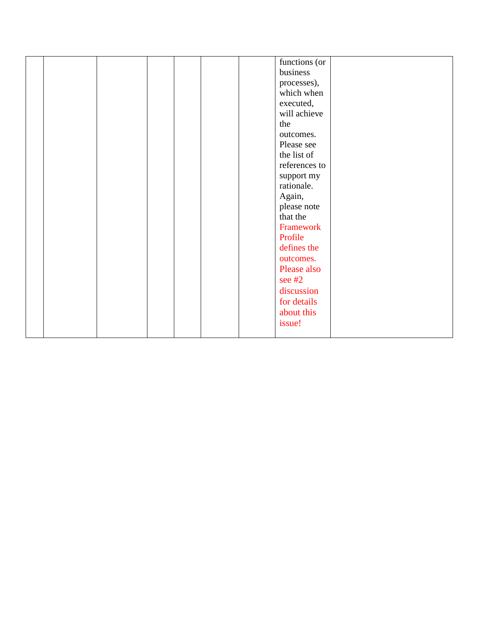|  |  |  | functions (or |  |
|--|--|--|---------------|--|
|  |  |  | business      |  |
|  |  |  | processes),   |  |
|  |  |  |               |  |
|  |  |  | which when    |  |
|  |  |  | executed,     |  |
|  |  |  | will achieve  |  |
|  |  |  | the           |  |
|  |  |  | outcomes.     |  |
|  |  |  | Please see    |  |
|  |  |  | the list of   |  |
|  |  |  | references to |  |
|  |  |  | support my    |  |
|  |  |  | rationale.    |  |
|  |  |  | Again,        |  |
|  |  |  | please note   |  |
|  |  |  | that the      |  |
|  |  |  | Framework     |  |
|  |  |  | Profile       |  |
|  |  |  | defines the   |  |
|  |  |  | outcomes.     |  |
|  |  |  | Please also   |  |
|  |  |  | see $#2$      |  |
|  |  |  | discussion    |  |
|  |  |  | for details   |  |
|  |  |  | about this    |  |
|  |  |  | issue!        |  |
|  |  |  |               |  |
|  |  |  |               |  |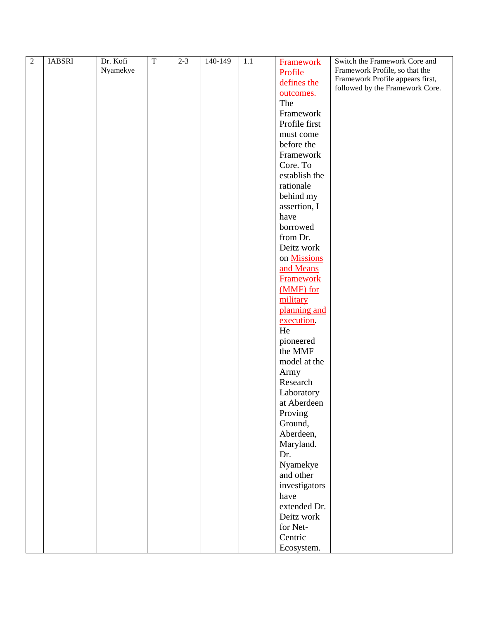| $\boldsymbol{2}$ | <b>IABSRI</b> | Dr. Kofi | $\overline{T}$ | $2-3$ | $140-149$ | 1.1 | Framework             | Switch the Framework Core and    |
|------------------|---------------|----------|----------------|-------|-----------|-----|-----------------------|----------------------------------|
|                  |               | Nyamekye |                |       |           |     | Profile               | Framework Profile, so that the   |
|                  |               |          |                |       |           |     |                       | Framework Profile appears first, |
|                  |               |          |                |       |           |     | defines the           | followed by the Framework Core.  |
|                  |               |          |                |       |           |     | outcomes.             |                                  |
|                  |               |          |                |       |           |     | The                   |                                  |
|                  |               |          |                |       |           |     | Framework             |                                  |
|                  |               |          |                |       |           |     | Profile first         |                                  |
|                  |               |          |                |       |           |     | must come             |                                  |
|                  |               |          |                |       |           |     | before the            |                                  |
|                  |               |          |                |       |           |     | Framework             |                                  |
|                  |               |          |                |       |           |     | Core. To              |                                  |
|                  |               |          |                |       |           |     | establish the         |                                  |
|                  |               |          |                |       |           |     | rationale             |                                  |
|                  |               |          |                |       |           |     | behind my             |                                  |
|                  |               |          |                |       |           |     | assertion, I          |                                  |
|                  |               |          |                |       |           |     | have                  |                                  |
|                  |               |          |                |       |           |     | borrowed              |                                  |
|                  |               |          |                |       |           |     | from Dr.              |                                  |
|                  |               |          |                |       |           |     | Deitz work            |                                  |
|                  |               |          |                |       |           |     |                       |                                  |
|                  |               |          |                |       |           |     | on Missions           |                                  |
|                  |               |          |                |       |           |     | and Means             |                                  |
|                  |               |          |                |       |           |     | Framework             |                                  |
|                  |               |          |                |       |           |     | (MMF) for             |                                  |
|                  |               |          |                |       |           |     | military              |                                  |
|                  |               |          |                |       |           |     | planning and          |                                  |
|                  |               |          |                |       |           |     | execution.            |                                  |
|                  |               |          |                |       |           |     | He                    |                                  |
|                  |               |          |                |       |           |     | pioneered             |                                  |
|                  |               |          |                |       |           |     | the MMF               |                                  |
|                  |               |          |                |       |           |     | model at the          |                                  |
|                  |               |          |                |       |           |     | Army                  |                                  |
|                  |               |          |                |       |           |     | Research              |                                  |
|                  |               |          |                |       |           |     | Laboratory            |                                  |
|                  |               |          |                |       |           |     | at Aberdeen           |                                  |
|                  |               |          |                |       |           |     | Proving               |                                  |
|                  |               |          |                |       |           |     | Ground,               |                                  |
|                  |               |          |                |       |           |     | Aberdeen,             |                                  |
|                  |               |          |                |       |           |     | Maryland.             |                                  |
|                  |               |          |                |       |           |     | Dr.                   |                                  |
|                  |               |          |                |       |           |     |                       |                                  |
|                  |               |          |                |       |           |     | Nyamekye<br>and other |                                  |
|                  |               |          |                |       |           |     |                       |                                  |
|                  |               |          |                |       |           |     | investigators         |                                  |
|                  |               |          |                |       |           |     | have                  |                                  |
|                  |               |          |                |       |           |     | extended Dr.          |                                  |
|                  |               |          |                |       |           |     | Deitz work            |                                  |
|                  |               |          |                |       |           |     | for Net-              |                                  |
|                  |               |          |                |       |           |     | Centric               |                                  |
|                  |               |          |                |       |           |     | Ecosystem.            |                                  |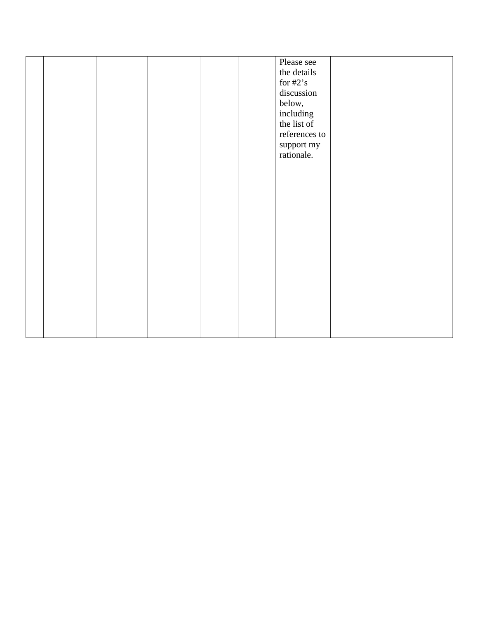|  |  |  | Please see<br>the details<br>for $#2's$<br>discussion<br>below,<br>including<br>the list of<br>references to<br>support my |  |
|--|--|--|----------------------------------------------------------------------------------------------------------------------------|--|
|  |  |  | rationale.                                                                                                                 |  |
|  |  |  |                                                                                                                            |  |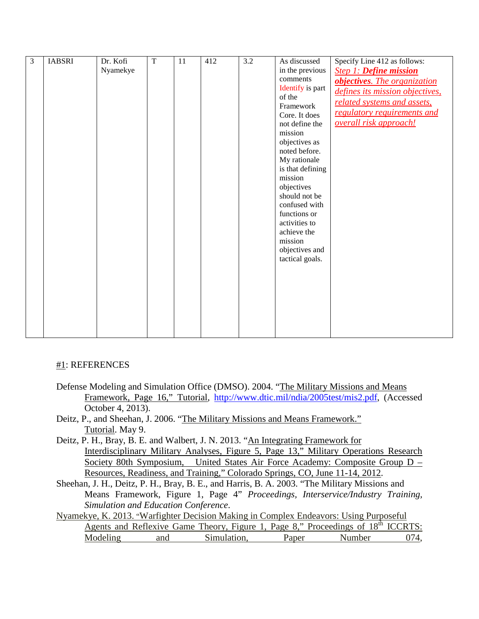| 3 | <b>IABSRI</b> | Dr. Kofi | $\overline{T}$ | 11 | 412 | $\overline{3.2}$ | As discussed     |                                 |
|---|---------------|----------|----------------|----|-----|------------------|------------------|---------------------------------|
|   |               |          |                |    |     |                  |                  | Specify Line 412 as follows:    |
|   |               | Nyamekye |                |    |     |                  | in the previous  | <b>Step 1: Define mission</b>   |
|   |               |          |                |    |     |                  | comments         | objectives. The organization    |
|   |               |          |                |    |     |                  | Identify is part | defines its mission objectives, |
|   |               |          |                |    |     |                  | of the           | related systems and assets,     |
|   |               |          |                |    |     |                  | Framework        |                                 |
|   |               |          |                |    |     |                  | Core. It does    | regulatory requirements and     |
|   |               |          |                |    |     |                  | not define the   | overall risk approach!          |
|   |               |          |                |    |     |                  | mission          |                                 |
|   |               |          |                |    |     |                  | objectives as    |                                 |
|   |               |          |                |    |     |                  | noted before.    |                                 |
|   |               |          |                |    |     |                  | My rationale     |                                 |
|   |               |          |                |    |     |                  | is that defining |                                 |
|   |               |          |                |    |     |                  | mission          |                                 |
|   |               |          |                |    |     |                  | objectives       |                                 |
|   |               |          |                |    |     |                  | should not be    |                                 |
|   |               |          |                |    |     |                  | confused with    |                                 |
|   |               |          |                |    |     |                  | functions or     |                                 |
|   |               |          |                |    |     |                  | activities to    |                                 |
|   |               |          |                |    |     |                  | achieve the      |                                 |
|   |               |          |                |    |     |                  | mission          |                                 |
|   |               |          |                |    |     |                  | objectives and   |                                 |
|   |               |          |                |    |     |                  | tactical goals.  |                                 |
|   |               |          |                |    |     |                  |                  |                                 |
|   |               |          |                |    |     |                  |                  |                                 |
|   |               |          |                |    |     |                  |                  |                                 |
|   |               |          |                |    |     |                  |                  |                                 |
|   |               |          |                |    |     |                  |                  |                                 |
|   |               |          |                |    |     |                  |                  |                                 |
|   |               |          |                |    |     |                  |                  |                                 |
|   |               |          |                |    |     |                  |                  |                                 |
|   |               |          |                |    |     |                  |                  |                                 |

## #1: REFERENCES

- Defense Modeling and Simulation Office (DMSO). 2004. "The Military Missions and Means Framework, Page 16," Tutorial, [http://www.dtic.mil/ndia/2005test/mis2.pdf,](http://www.dtic.mil/ndia/2005test/mis2.pdf) (Accessed October 4, 2013).
- Deitz, P., and Sheehan, J. 2006. "The Military Missions and Means Framework." Tutorial. May 9.
- Deitz, P. H., Bray, B. E. and Walbert, J. N. 2013. "An Integrating Framework for Interdisciplinary Military Analyses, Figure 5, Page 13," Military Operations Research Society 80th Symposium, United States Air Force Academy: Composite Group D – Resources, Readiness, and Training," Colorado Springs, CO, June 11-14, 2012 .
- Sheehan, J. H., Deitz, P. H., Bray, B. E., and Harris, B. A. 2003. "The Military Missions and Means Framework, Figure 1, Page 4" *Proceedings, Interservice/Industry Training, Simulation and Education Conference*.

Nyamekye, K. 2013. "Warfighter Decision Making in Complex Endeavors: Using Purposeful Agents and Reflexive Game Theory, Figure 1, Page 8," Proceedings of 18<sup>th</sup> ICCRTS: Modeling and Simulation, Paper Number 074,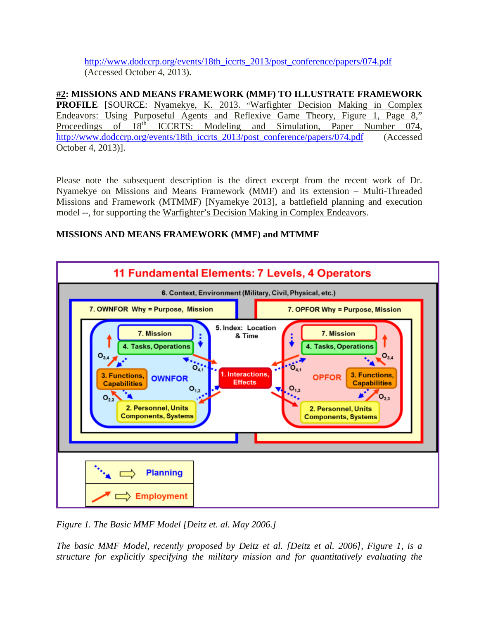[http://www.dodccrp.org/events/18th\\_iccrts\\_2013/post\\_conference/papers/074.pdf](http://www.dodccrp.org/events/18th_iccrts_2013/post_conference/papers/074.pdf) (Accessed October 4, 2013).

**#2: MISSIONS AND MEANS FRAMEWORK (MMF) TO ILLUSTRATE FRAMEWORK PROFILE** [SOURCE: Nyamekye, K. 2013. "Warfighter Decision Making in Complex Endeavors: Using Purposeful Agents and Reflexive Game Theory, Figure 1, Page 8,"<br>Proceedings of 18<sup>th</sup> ICCRTS: Modeling and Simulation. Paner Number 074 ICCRTS: Modeling and Simulation, Paper Number 074, [http://www.dodccrp.org/events/18th\\_iccrts\\_2013/post\\_conference/papers/074.pdf](http://www.dodccrp.org/events/18th_iccrts_2013/post_conference/papers/074.pdf) (Accessed October 4, 2013)].

Please note the subsequent description is the direct excerpt from the recent work of Dr. Nyamekye on Missions and Means Framework (MMF) and its extension – Multi-Threaded Missions and Framework (MTMMF) [Nyamekye 2013], a battlefield planning and execution model --, for supporting the Warfighter's Decision Making in Complex Endeavors.

## **MISSIONS AND MEANS FRAMEWORK (MMF) and MTMMF**



*Figure 1. The Basic MMF Model [Deitz et. al. May 2006.]* 

*The basic MMF Model, recently proposed by Deitz et al. [Deitz et al. 2006], Figure 1, is a structure for explicitly specifying the military mission and for quantitatively evaluating the*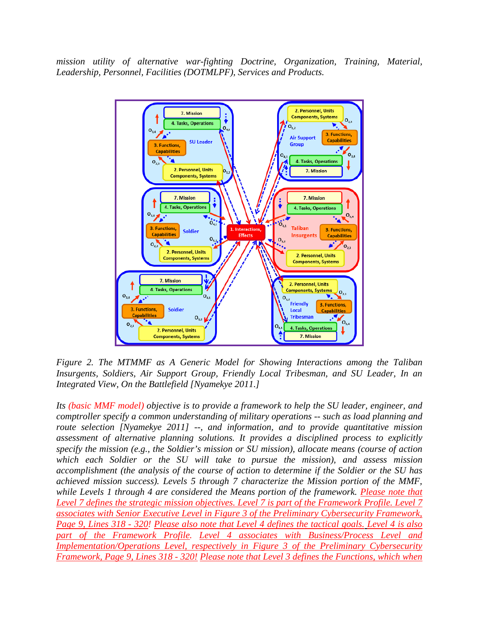*mission utility of alternative war-fighting Doctrine, Organization, Training, Material, Leadership, Personnel, Facilities (DOTMLPF), Services and Products.* 



*Figure 2. The MTMMF as A Generic Model for Showing Interactions among the Taliban Insurgents, Soldiers, Air Support Group, Friendly Local Tribesman, and SU Leader, In an Integrated View, On the Battlefield [Nyamekye 2011.]*

*Its (basic MMF model) objective is to provide a framework to help the SU leader, engineer, and comptroller specify a common understanding of military operations -- such as load planning and route selection [Nyamekye 2011] --, and information, and to provide quantitative mission assessment of alternative planning solutions. It provides a disciplined process to explicitly specify the mission (e.g., the Soldier's mission or SU mission), allocate means (course of action which each Soldier or the SU will take to pursue the mission), and assess mission accomplishment (the analysis of the course of action to determine if the Soldier or the SU has achieved mission success). Levels 5 through 7 characterize the Mission portion of the MMF, while Levels 1 through 4 are considered the Means portion of the framework. Please note that Level 7 defines the strategic mission objectives. Level 7 is part of the Framework Profile. Level 7 associates with Senior Executive Level in Figure 3 of the Preliminary Cybersecurity Framework, Page 9, Lines 318 - 320! Please also note that Level 4 defines the tactical goals. Level 4 is also part of the Framework Profile. Level 4 associates with Business/Process Level and Implementation/Operations Level, respectively in Figure 3 of the Preliminary Cybersecurity Framework, Page 9, Lines 318 - 320! Please note that Level 3 defines the Functions, which when*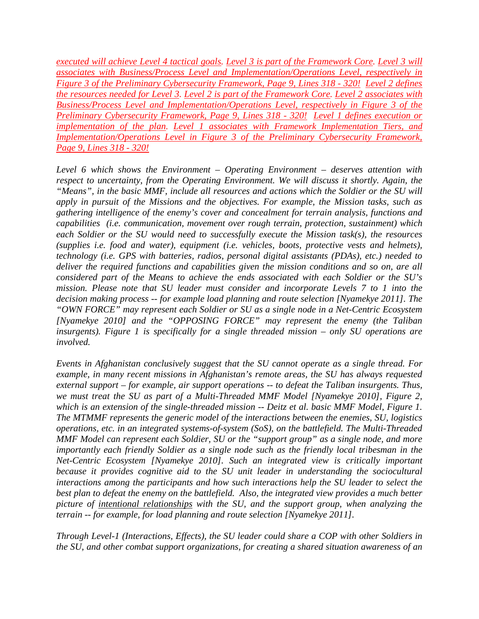*executed will achieve Level 4 tactical goals. Level 3 is part of the Framework Core. Level 3 will associates with Business/Process Level and Implementation/Operations Level, respectively in Figure 3 of the Preliminary Cybersecurity Framework, Page 9, Lines 318 - 320! Level 2 defines the resources needed for Level 3. Level 2 is part of the Framework Core. Level 2 associates with Business/Process Level and Implementation/Operations Level, respectively in Figure 3 of the Preliminary Cybersecurity Framework, Page 9, Lines 318 - 320! Level 1 defines execution or implementation of the plan. Level 1 associates with Framework Implementation Tiers, and Implementation/Operations Level in Figure 3 of the Preliminary Cybersecurity Framework, Page 9, Lines 318 - 320!*

*Level 6 which shows the Environment – Operating Environment – deserves attention with respect to uncertainty, from the Operating Environment. We will discuss it shortly. Again, the "Means", in the basic MMF, include all resources and actions which the Soldier or the SU will apply in pursuit of the Missions and the objectives. For example, the Mission tasks, such as gathering intelligence of the enemy's cover and concealment for terrain analysis, functions and capabilities (i.e. communication, movement over rough terrain, protection, sustainment) which each Soldier or the SU would need to successfully execute the Mission task(s), the resources (supplies i.e. food and water), equipment (i.e. vehicles, boots, protective vests and helmets), technology (i.e. GPS with batteries, radios, personal digital assistants (PDAs), etc.) needed to deliver the required functions and capabilities given the mission conditions and so on, are all considered part of the Means to achieve the ends associated with each Soldier or the SU's mission. Please note that SU leader must consider and incorporate Levels 7 to 1 into the decision making process -- for example load planning and route selection [Nyamekye 2011]. The "OWN FORCE" may represent each Soldier or SU as a single node in a Net-Centric Ecosystem [Nyamekye 2010] and the "OPPOSING FORCE" may represent the enemy (the Taliban insurgents). Figure 1 is specifically for a single threaded mission – only SU operations are involved.* 

*Events in Afghanistan conclusively suggest that the SU cannot operate as a single thread. For example, in many recent missions in Afghanistan's remote areas, the SU has always requested external support – for example, air support operations -- to defeat the Taliban insurgents. Thus, we must treat the SU as part of a Multi-Threaded MMF Model [Nyamekye 2010], Figure 2, which is an extension of the single-threaded mission -- Deitz et al. basic MMF Model, Figure 1. The MTMMF represents the generic model of the interactions between the enemies, SU, logistics operations, etc. in an integrated systems-of-system (SoS), on the battlefield. The Multi-Threaded MMF Model can represent each Soldier, SU or the "support group" as a single node, and more importantly each friendly Soldier as a single node such as the friendly local tribesman in the Net-Centric Ecosystem [Nyamekye 2010]. Such an integrated view is critically important because it provides cognitive aid to the SU unit leader in understanding the sociocultural interactions among the participants and how such interactions help the SU leader to select the best plan to defeat the enemy on the battlefield. Also, the integrated view provides a much better picture of intentional relationships with the SU, and the support group, when analyzing the terrain -- for example, for load planning and route selection [Nyamekye 2011].* 

*Through Level-1 (Interactions, Effects), the SU leader could share a COP with other Soldiers in the SU, and other combat support organizations, for creating a shared situation awareness of an*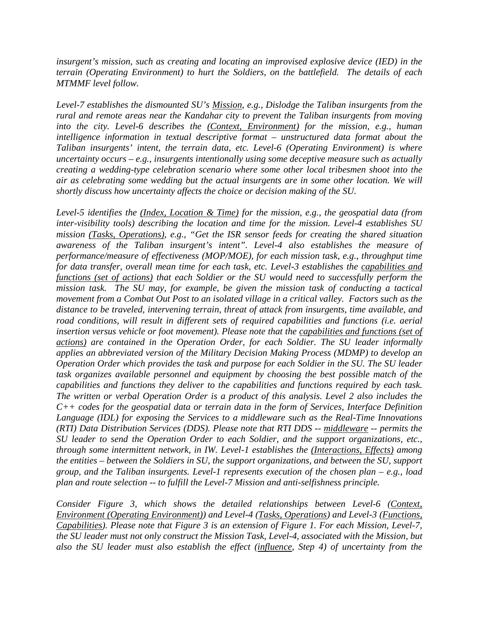*insurgent's mission, such as creating and locating an improvised explosive device (IED) in the terrain (Operating Environment) to hurt the Soldiers, on the battlefield. The details of each MTMMF level follow.* 

*Level-7 establishes the dismounted SU's Mission, e.g., Dislodge the Taliban insurgents from the rural and remote areas near the Kandahar city to prevent the Taliban insurgents from moving into the city. Level-6 describes the (Context, Environment) for the mission, e.g., human intelligence information in textual descriptive format – unstructured data format about the Taliban insurgents' intent, the terrain data, etc. Level-6 (Operating Environment) is where uncertainty occurs – e.g., insurgents intentionally using some deceptive measure such as actually creating a wedding-type celebration scenario where some other local tribesmen shoot into the air as celebrating some wedding but the actual insurgents are in some other location. We will shortly discuss how uncertainty affects the choice or decision making of the SU.* 

*Level-5 identifies the (Index, Location & Time) for the mission, e.g., the geospatial data (from inter-visibility tools) describing the location and time for the mission. Level-4 establishes SU mission (Tasks, Operations), e.g., "Get the ISR sensor feeds for creating the shared situation awareness of the Taliban insurgent's intent". Level-4 also establishes the measure of performance/measure of effectiveness (MOP/MOE), for each mission task, e.g., throughput time for data transfer, overall mean time for each task, etc. Level-3 establishes the capabilities and functions (set of actions) that each Soldier or the SU would need to successfully perform the mission task. The SU may, for example, be given the mission task of conducting a tactical movement from a Combat Out Post to an isolated village in a critical valley. Factors such as the distance to be traveled, intervening terrain, threat of attack from insurgents, time available, and road conditions, will result in different sets of required capabilities and functions (i.e. aerial insertion versus vehicle or foot movement). Please note that the capabilities and functions (set of actions) are contained in the Operation Order, for each Soldier. The SU leader informally applies an abbreviated version of the Military Decision Making Process (MDMP) to develop an Operation Order which provides the task and purpose for each Soldier in the SU. The SU leader task organizes available personnel and equipment by choosing the best possible match of the capabilities and functions they deliver to the capabilities and functions required by each task. The written or verbal Operation Order is a product of this analysis. Level 2 also includes the C++ codes for the geospatial data or terrain data in the form of Services, Interface Definition Language (IDL) for exposing the Services to a middleware such as the Real-Time Innovations (RTI) Data Distribution Services (DDS). Please note that RTI DDS -- middleware -- permits the SU leader to send the Operation Order to each Soldier, and the support organizations, etc., through some intermittent network, in IW. Level-1 establishes the (Interactions, Effects) among the entities – between the Soldiers in SU, the support organizations, and between the SU, support group, and the Taliban insurgents. Level-1 represents execution of the chosen plan – e.g., load plan and route selection -- to fulfill the Level-7 Mission and anti-selfishness principle.* 

*Consider Figure 3, which shows the detailed relationships between Level-6 (Context, Environment (Operating Environment)) and Level-4 (Tasks, Operations) and Level-3 (Functions, Capabilities). Please note that Figure 3 is an extension of Figure 1. For each Mission, Level-7, the SU leader must not only construct the Mission Task, Level-4, associated with the Mission, but also the SU leader must also establish the effect (influence, Step 4) of uncertainty from the*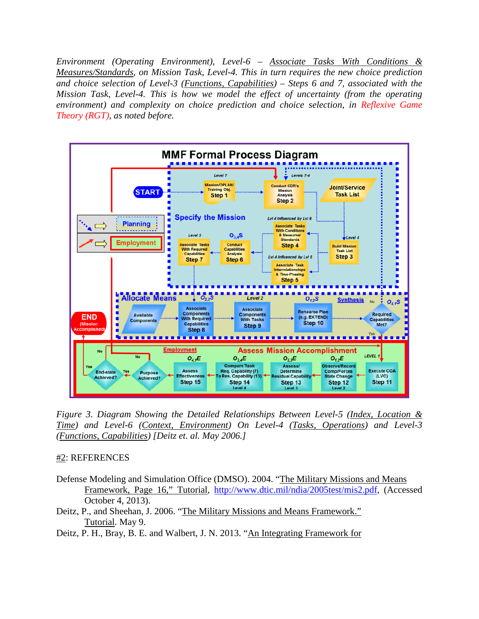*Environment (Operating Environment), Level-6 – Associate Tasks With Conditions & Measures/Standards, on Mission Task, Level-4. This in turn requires the new choice prediction and choice selection of Level-3 (Functions, Capabilities) – Steps 6 and 7, associated with the Mission Task, Level-4. This is how we model the effect of uncertainty (from the operating environment) and complexity on choice prediction and choice selection, in Reflexive Game Theory (RGT), as noted before.* 



*Figure 3. Diagram Showing the Detailed Relationships Between Level-5 (Index, Location & Time) and Level-6 (Context, Environment) On Level-4 (Tasks, Operations) and Level-3 (Functions, Capabilities) [Deitz et. al. May 2006.]*

## #2: REFERENCES

- Defense Modeling and Simulation Office (DMSO). 2004. "The Military Missions and Means Framework, Page 16," Tutorial, [http://www.dtic.mil/ndia/2005test/mis2.pdf,](http://www.dtic.mil/ndia/2005test/mis2.pdf) (Accessed October 4, 2013).
- Deitz, P., and Sheehan, J. 2006. "The Military Missions and Means Framework." Tutorial. May 9.
- Deitz, P. H., Bray, B. E. and Walbert, J. N. 2013. "An Integrating Framework for